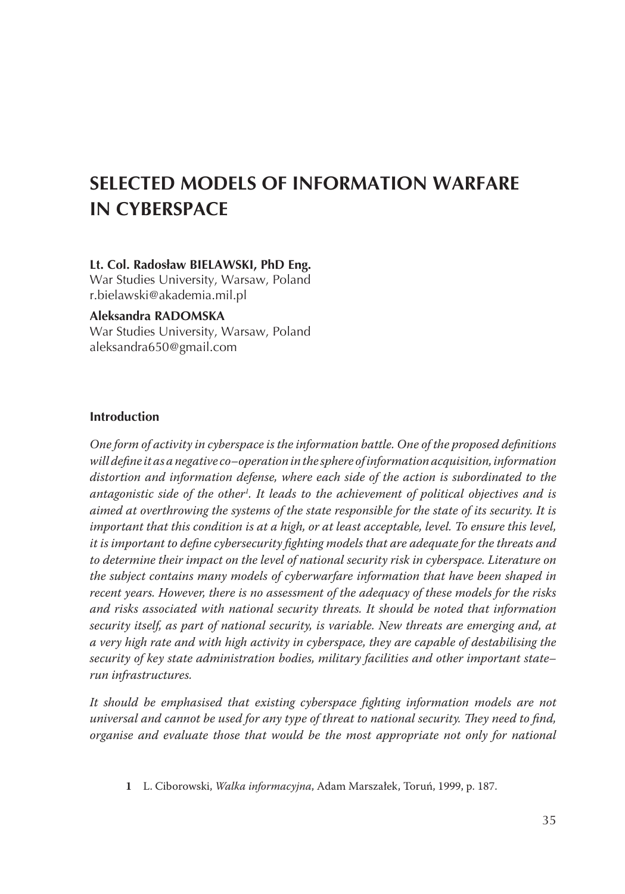# **SELECTED MODELS OF INFORMATION WARFARE IN CYBERSPACE**

#### **Lt. Col. Radosław BIELAWSKI, PhD Eng.**

War Studies University, Warsaw, Poland r.bielawski@akademia.mil.pl

#### **Aleksandra RADOMSKA**

War Studies University, Warsaw, Poland aleksandra650@gmail.com

#### **Introduction**

*One form of activity in cyberspace is the information battle. One of the proposed definitions will define it as a negative co–operation in the sphere of information acquisition, information distortion and information defense, where each side of the action is subordinated to the antagonistic side of the other . It leads to the achievement of political objectives and is aimed at overthrowing the systems of the state responsible for the state of its security. It is important that this condition is at a high, or at least acceptable, level. To ensure this level, it is important to define cybersecurity fighting models that are adequate for the threats and to determine their impact on the level of national security risk in cyberspace. Literature on the subject contains many models of cyberwarfare information that have been shaped in recent years. However, there is no assessment of the adequacy of these models for the risks and risks associated with national security threats. It should be noted that information security itself, as part of national security, is variable. New threats are emerging and, at a very high rate and with high activity in cyberspace, they are capable of destabilising the security of key state administration bodies, military facilities and other important state– run infrastructures.*

*It should be emphasised that existing cyberspace fighting information models are not universal and cannot be used for any type of threat to national security. They need to find, organise and evaluate those that would be the most appropriate not only for national* 

 L. Ciborowski, *Walka informacyjna*, Adam Marszałek, Toruń, 1999, p. 187.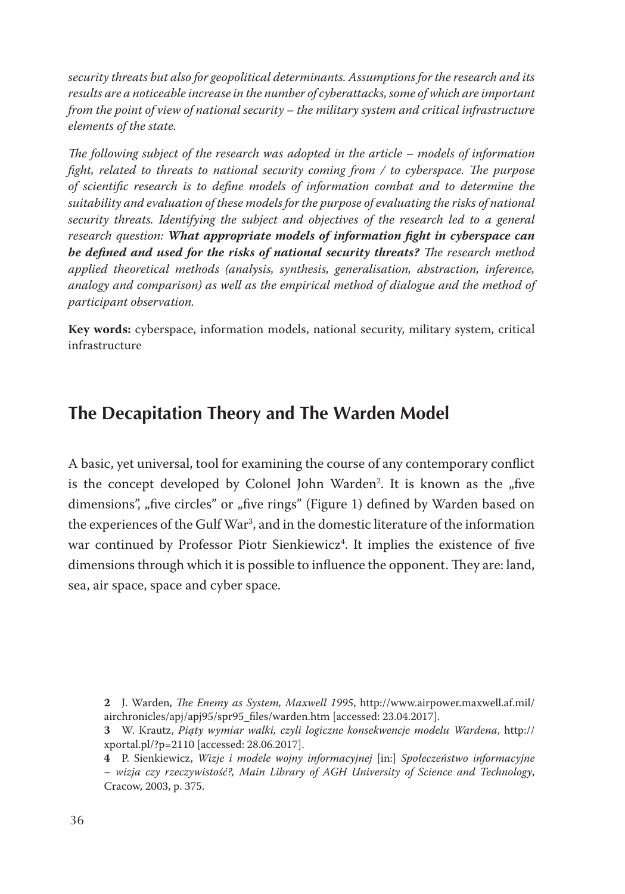*security threats but also for geopolitical determinants. Assumptions for the research and its results are a noticeable increase in the number of cyberattacks, some of which are important from the point of view of national security – the military system and critical infrastructure elements of the state.*

*The following subject of the research was adopted in the article – models of information fight, related to threats to national security coming from / to cyberspace. The purpose of scientific research is to define models of information combat and to determine the suitability and evaluation of these models for the purpose of evaluating the risks of national security threats. Identifying the subject and objectives of the research led to a general research question: What appropriate models of information fight in cyberspace can be defined and used for the risks of national security threats? The research method applied theoretical methods (analysis, synthesis, generalisation, abstraction, inference, analogy and comparison) as well as the empirical method of dialogue and the method of participant observation.*

**Key words:** cyberspace, information models, national security, military system, critical infrastructure

### **The Decapitation Theory and The Warden Model**

A basic, yet universal, tool for examining the course of any contemporary conflict is the concept developed by Colonel John Warden<sup>2</sup>. It is known as the "five dimensions", "five circles" or "five rings" (Figure 1) defined by Warden based on the experiences of the Gulf War , and in the domestic literature of the information war continued by Professor Piotr Sienkiewicz . It implies the existence of five dimensions through which it is possible to influence the opponent. They are: land, sea, air space, space and cyber space.

 J. Warden, *The Enemy as System, Maxwell 1995*, http://www.airpower.maxwell.af.mil/ airchronicles/apj/apj95/spr95\_files/warden.htm [accessed: 23.04.2017].

 W. Krautz, *Piąty wymiar walki, czyli logiczne konsekwencje modelu Wardena*, http:// xportal.pl/?p=2110 [accessed: 28.06.2017].

 P. Sienkiewicz, *Wizje i modele wojny informacyjnej* [in:] *Społeczeństwo informacyjne – wizja czy rzeczywistość?, Main Library of AGH University of Science and Technology*, Cracow, 2003, p. 375.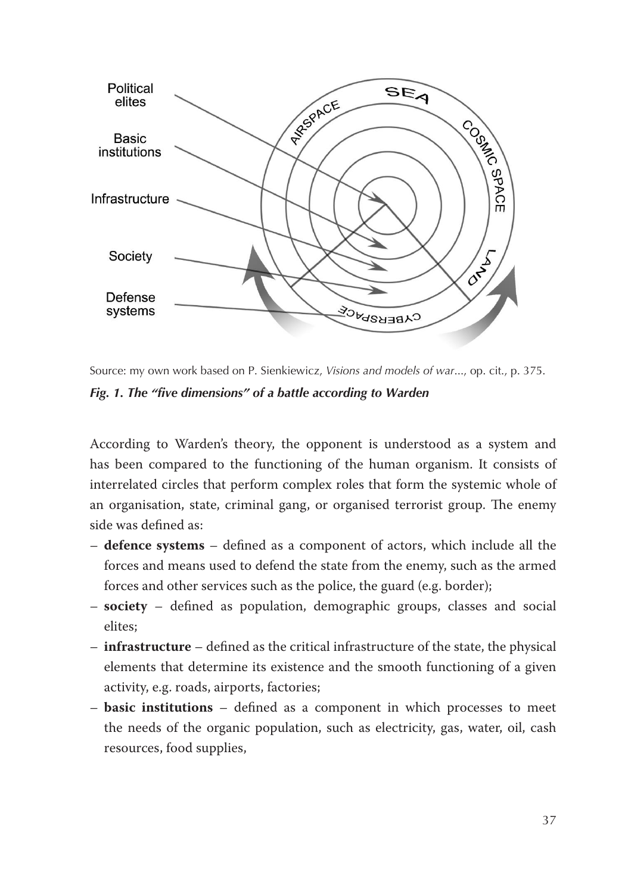

Source: my own work based on P. Sienkiewicz, *Visions and models of war*..., op. cit., p. 375. *Fig. 1. The "five dimensions" of a battle according to Warden*

According to Warden's theory, the opponent is understood as a system and has been compared to the functioning of the human organism. It consists of interrelated circles that perform complex roles that form the systemic whole of an organisation, state, criminal gang, or organised terrorist group. The enemy side was defined as:

- **defence systems** defined as a component of actors, which include all the forces and means used to defend the state from the enemy, such as the armed forces and other services such as the police, the guard (e.g. border);
- **society** defined as population, demographic groups, classes and social elites;
- **infrastructure** defined as the critical infrastructure of the state, the physical elements that determine its existence and the smooth functioning of a given activity, e.g. roads, airports, factories;
- **basic institutions** defined as a component in which processes to meet the needs of the organic population, such as electricity, gas, water, oil, cash resources, food supplies,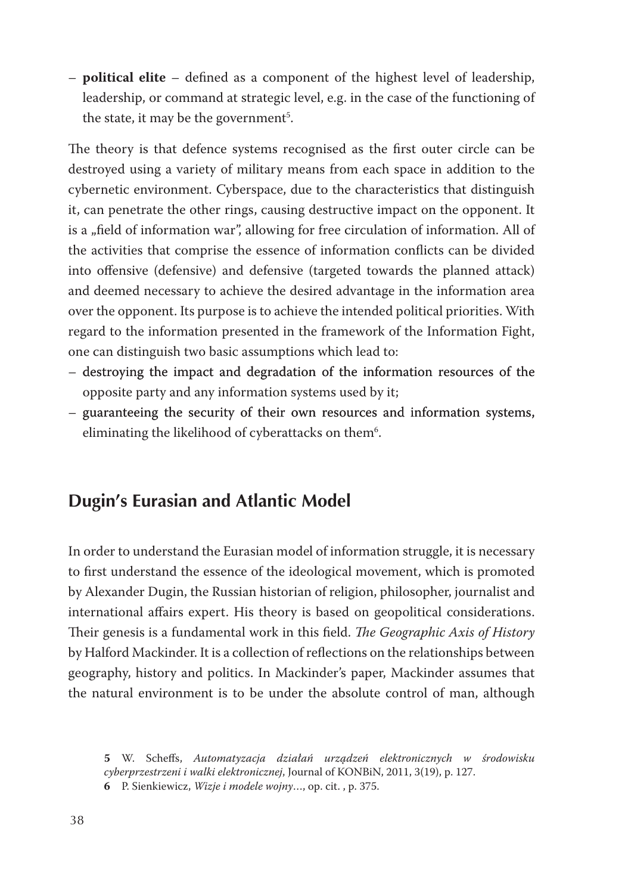– **political elite** – defined as a component of the highest level of leadership, leadership, or command at strategic level, e.g. in the case of the functioning of the state, it may be the government<sup>5</sup>.

The theory is that defence systems recognised as the first outer circle can be destroyed using a variety of military means from each space in addition to the cybernetic environment. Cyberspace, due to the characteristics that distinguish it, can penetrate the other rings, causing destructive impact on the opponent. It is a "field of information war", allowing for free circulation of information. All of the activities that comprise the essence of information conflicts can be divided into offensive (defensive) and defensive (targeted towards the planned attack) and deemed necessary to achieve the desired advantage in the information area over the opponent. Its purpose is to achieve the intended political priorities. With regard to the information presented in the framework of the Information Fight, one can distinguish two basic assumptions which lead to:

- destroying the impact and degradation of the information resources of the opposite party and any information systems used by it;
- guaranteeing the security of their own resources and information systems, eliminating the likelihood of cyberattacks on them<sup>6</sup>.

## **Dugin's Eurasian and Atlantic Model**

In order to understand the Eurasian model of information struggle, it is necessary to first understand the essence of the ideological movement, which is promoted by Alexander Dugin, the Russian historian of religion, philosopher, journalist and international affairs expert. His theory is based on geopolitical considerations. Their genesis is a fundamental work in this field. *The Geographic Axis of History* by Halford Mackinder. It is a collection of reflections on the relationships between geography, history and politics. In Mackinder's paper, Mackinder assumes that the natural environment is to be under the absolute control of man, although

 W. Scheffs, *Automatyzacja działań urządzeń elektronicznych w środowisku cyberprzestrzeni i walki elektronicznej*, Journal of KONBiN, 2011, 3(19), p. 127.  P. Sienkiewicz, *Wizje i modele wojny*…, op. cit. , p. 375.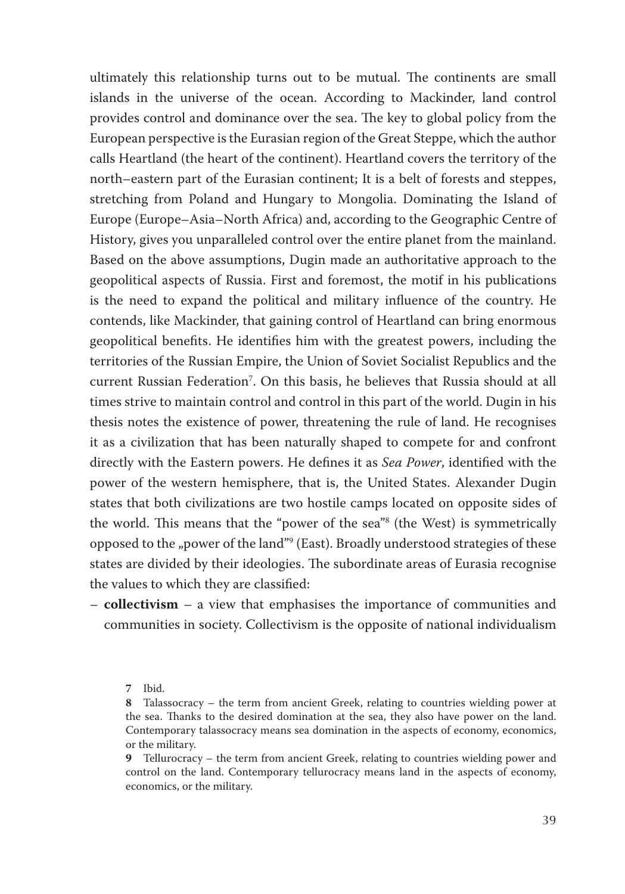ultimately this relationship turns out to be mutual. The continents are small islands in the universe of the ocean. According to Mackinder, land control provides control and dominance over the sea. The key to global policy from the European perspective is the Eurasian region of the Great Steppe, which the author calls Heartland (the heart of the continent). Heartland covers the territory of the north–eastern part of the Eurasian continent; It is a belt of forests and steppes, stretching from Poland and Hungary to Mongolia. Dominating the Island of Europe (Europe–Asia–North Africa) and, according to the Geographic Centre of History, gives you unparalleled control over the entire planet from the mainland. Based on the above assumptions, Dugin made an authoritative approach to the geopolitical aspects of Russia. First and foremost, the motif in his publications is the need to expand the political and military influence of the country. He contends, like Mackinder, that gaining control of Heartland can bring enormous geopolitical benefits. He identifies him with the greatest powers, including the territories of the Russian Empire, the Union of Soviet Socialist Republics and the current Russian Federation<sup>7</sup>. On this basis, he believes that Russia should at all times strive to maintain control and control in this part of the world. Dugin in his thesis notes the existence of power, threatening the rule of land. He recognises it as a civilization that has been naturally shaped to compete for and confront directly with the Eastern powers. He defines it as *Sea Power*, identified with the power of the western hemisphere, that is, the United States. Alexander Dugin states that both civilizations are two hostile camps located on opposite sides of the world. This means that the "power of the sea" (the West) is symmetrically opposed to the "power of the land"<sup>9</sup> (East). Broadly understood strategies of these states are divided by their ideologies. The subordinate areas of Eurasia recognise the values to which they are classified:

– **collectivism** – a view that emphasises the importance of communities and communities in society. Collectivism is the opposite of national individualism

<sup>7</sup> Ibid.

 Talassocracy – the term from ancient Greek, relating to countries wielding power at the sea. Thanks to the desired domination at the sea, they also have power on the land. Contemporary talassocracy means sea domination in the aspects of economy, economics, or the military.

**<sup>9</sup>** Tellurocracy – the term from ancient Greek, relating to countries wielding power and control on the land. Contemporary tellurocracy means land in the aspects of economy, economics, or the military.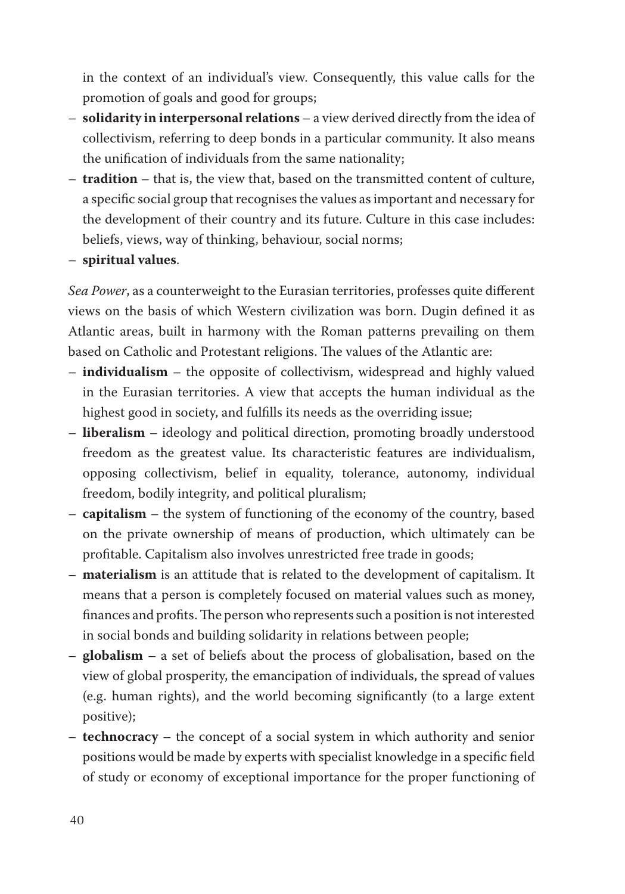in the context of an individual's view. Consequently, this value calls for the promotion of goals and good for groups;

- **solidarity in interpersonal relations** a view derived directly from the idea of collectivism, referring to deep bonds in a particular community. It also means the unification of individuals from the same nationality;
- **tradition** that is, the view that, based on the transmitted content of culture, a specific social group that recognises the values as important and necessary for the development of their country and its future. Culture in this case includes: beliefs, views, way of thinking, behaviour, social norms;
- **spiritual values**.

*Sea Power*, as a counterweight to the Eurasian territories, professes quite different views on the basis of which Western civilization was born. Dugin defined it as Atlantic areas, built in harmony with the Roman patterns prevailing on them based on Catholic and Protestant religions. The values of the Atlantic are:

- **individualism** the opposite of collectivism, widespread and highly valued in the Eurasian territories. A view that accepts the human individual as the highest good in society, and fulfills its needs as the overriding issue;
- **liberalism** ideology and political direction, promoting broadly understood freedom as the greatest value. Its characteristic features are individualism, opposing collectivism, belief in equality, tolerance, autonomy, individual freedom, bodily integrity, and political pluralism;
- **capitalism** the system of functioning of the economy of the country, based on the private ownership of means of production, which ultimately can be profitable. Capitalism also involves unrestricted free trade in goods;
- **materialism** is an attitude that is related to the development of capitalism. It means that a person is completely focused on material values such as money, finances and profits. The person who represents such a position is not interested in social bonds and building solidarity in relations between people;
- **globalism** a set of beliefs about the process of globalisation, based on the view of global prosperity, the emancipation of individuals, the spread of values (e.g. human rights), and the world becoming significantly (to a large extent positive);
- **technocracy** the concept of a social system in which authority and senior positions would be made by experts with specialist knowledge in a specific field of study or economy of exceptional importance for the proper functioning of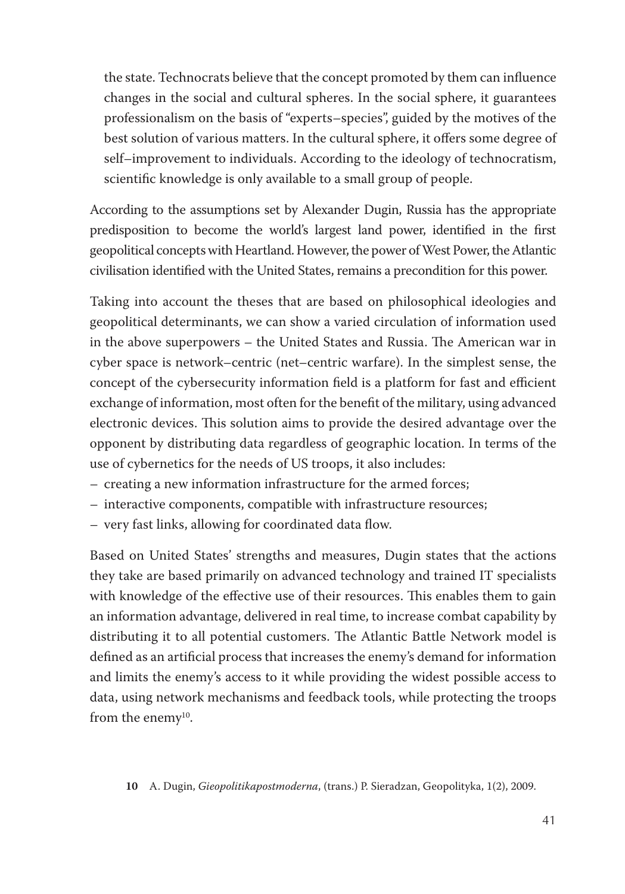the state. Technocrats believe that the concept promoted by them can influence changes in the social and cultural spheres. In the social sphere, it guarantees professionalism on the basis of "experts–species", guided by the motives of the best solution of various matters. In the cultural sphere, it offers some degree of self–improvement to individuals. According to the ideology of technocratism, scientific knowledge is only available to a small group of people.

According to the assumptions set by Alexander Dugin, Russia has the appropriate predisposition to become the world's largest land power, identified in the first geopolitical concepts with Heartland. However, the power of West Power, the Atlantic civilisation identified with the United States, remains a precondition for this power.

Taking into account the theses that are based on philosophical ideologies and geopolitical determinants, we can show a varied circulation of information used in the above superpowers – the United States and Russia. The American war in cyber space is network–centric (net–centric warfare). In the simplest sense, the concept of the cybersecurity information field is a platform for fast and efficient exchange of information, most often for the benefit of the military, using advanced electronic devices. This solution aims to provide the desired advantage over the opponent by distributing data regardless of geographic location. In terms of the use of cybernetics for the needs of US troops, it also includes:

- creating a new information infrastructure for the armed forces;
- interactive components, compatible with infrastructure resources;
- very fast links, allowing for coordinated data flow.

Based on United States' strengths and measures, Dugin states that the actions they take are based primarily on advanced technology and trained IT specialists with knowledge of the effective use of their resources. This enables them to gain an information advantage, delivered in real time, to increase combat capability by distributing it to all potential customers. The Atlantic Battle Network model is defined as an artificial process that increases the enemy's demand for information and limits the enemy's access to it while providing the widest possible access to data, using network mechanisms and feedback tools, while protecting the troops from the enemy<sup>10</sup>.

#### **10**  A. Dugin, *Gieopolitikapostmoderna*, (trans.) P. Sieradzan, Geopolityka, 1(2), 2009.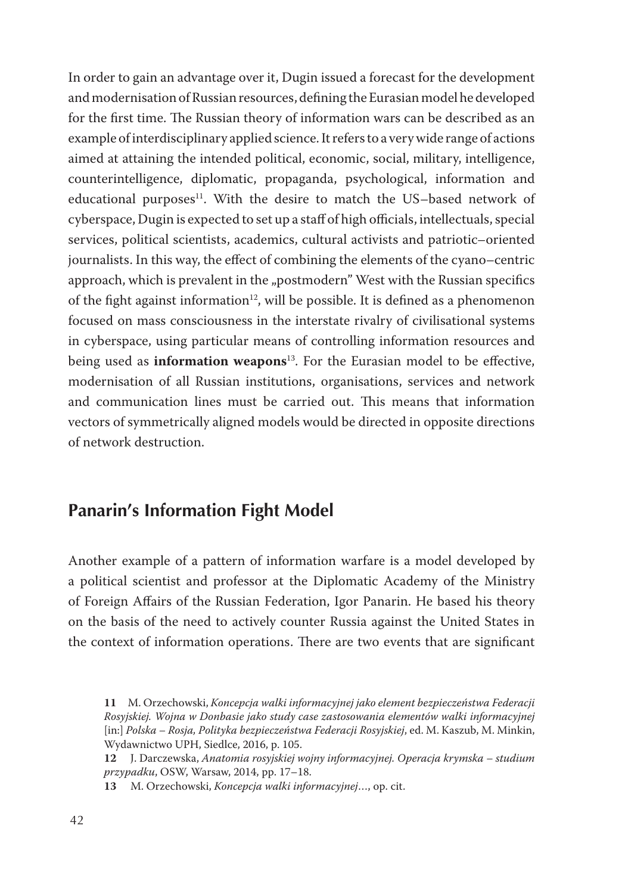In order to gain an advantage over it, Dugin issued a forecast for the development and modernisation of Russian resources, defining the Eurasian model he developed for the first time. The Russian theory of information wars can be described as an example of interdisciplinary applied science. It refers to a very wide range of actions aimed at attaining the intended political, economic, social, military, intelligence, counterintelligence, diplomatic, propaganda, psychological, information and educational purposes<sup>11</sup>. With the desire to match the US–based network of cyberspace, Dugin is expected to set up a staff of high officials, intellectuals, special services, political scientists, academics, cultural activists and patriotic–oriented journalists. In this way, the effect of combining the elements of the cyano–centric approach, which is prevalent in the "postmodern" West with the Russian specifics of the fight against information<sup>12</sup>, will be possible. It is defined as a phenomenon focused on mass consciousness in the interstate rivalry of civilisational systems in cyberspace, using particular means of controlling information resources and being used as **information weapons**<sup>13</sup> . For the Eurasian model to be effective, modernisation of all Russian institutions, organisations, services and network and communication lines must be carried out. This means that information vectors of symmetrically aligned models would be directed in opposite directions of network destruction.

### **Panarin's Information Fight Model**

Another example of a pattern of information warfare is a model developed by a political scientist and professor at the Diplomatic Academy of the Ministry of Foreign Affairs of the Russian Federation, Igor Panarin. He based his theory on the basis of the need to actively counter Russia against the United States in the context of information operations. There are two events that are significant

**<sup>11</sup>** M. Orzechowski, *Koncepcja walki informacyjnej jako element bezpieczeństwa Federacji Rosyjskiej. Wojna w Donbasie jako study case zastosowania elementów walki informacyjnej*  [in:] *Polska – Rosja, Polityka bezpieczeństwa Federacji Rosyjskiej*, ed. M. Kaszub, M. Minkin, Wydawnictwo UPH, Siedlce, 2016, p. 105.

**<sup>12</sup>** J. Darczewska, *Anatomia rosyjskiej wojny informacyjnej. Operacja krymska – studium przypadku*, OSW, Warsaw, 2014, pp. 17–18.

**<sup>13</sup>** M. Orzechowski, *Koncepcja walki informacyjnej*…, op. cit.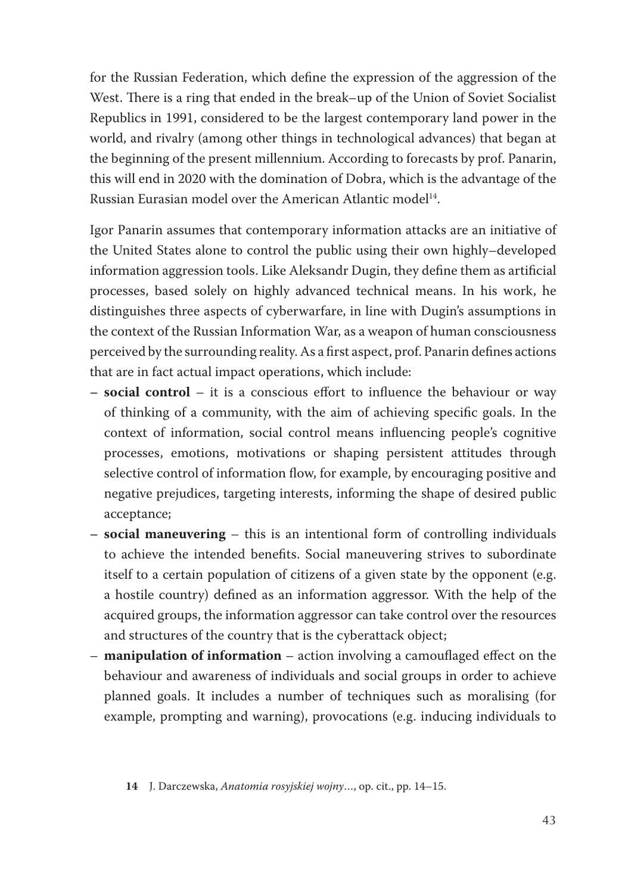for the Russian Federation, which define the expression of the aggression of the West. There is a ring that ended in the break–up of the Union of Soviet Socialist Republics in 1991, considered to be the largest contemporary land power in the world, and rivalry (among other things in technological advances) that began at the beginning of the present millennium. According to forecasts by prof. Panarin, this will end in 2020 with the domination of Dobra, which is the advantage of the Russian Eurasian model over the American Atlantic model<sup>14</sup>.

Igor Panarin assumes that contemporary information attacks are an initiative of the United States alone to control the public using their own highly–developed information aggression tools. Like Aleksandr Dugin, they define them as artificial processes, based solely on highly advanced technical means. In his work, he distinguishes three aspects of cyberwarfare, in line with Dugin's assumptions in the context of the Russian Information War, as a weapon of human consciousness perceived by the surrounding reality. As a first aspect, prof. Panarin defines actions that are in fact actual impact operations, which include:

- **– social control** it is a conscious effort to influence the behaviour or way of thinking of a community, with the aim of achieving specific goals. In the context of information, social control means influencing people's cognitive processes, emotions, motivations or shaping persistent attitudes through selective control of information flow, for example, by encouraging positive and negative prejudices, targeting interests, informing the shape of desired public acceptance;
- **– social maneuvering** this is an intentional form of controlling individuals to achieve the intended benefits. Social maneuvering strives to subordinate itself to a certain population of citizens of a given state by the opponent (e.g. a hostile country) defined as an information aggressor. With the help of the acquired groups, the information aggressor can take control over the resources and structures of the country that is the cyberattack object;
- **manipulation of information** action involving a camouflaged effect on the behaviour and awareness of individuals and social groups in order to achieve planned goals. It includes a number of techniques such as moralising (for example, prompting and warning), provocations (e.g. inducing individuals to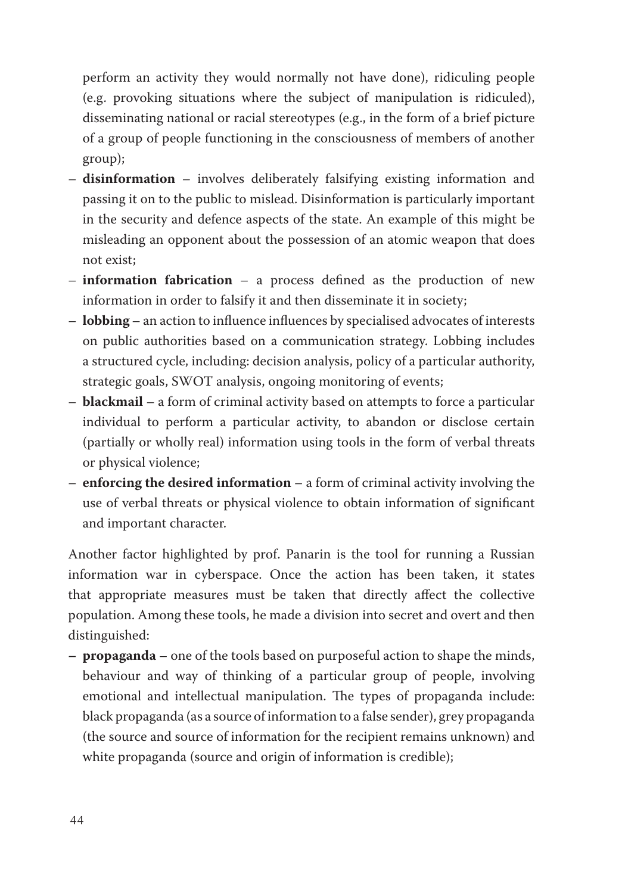perform an activity they would normally not have done), ridiculing people (e.g. provoking situations where the subject of manipulation is ridiculed), disseminating national or racial stereotypes (e.g., in the form of a brief picture of a group of people functioning in the consciousness of members of another group);

- **disinformation** involves deliberately falsifying existing information and passing it on to the public to mislead. Disinformation is particularly important in the security and defence aspects of the state. An example of this might be misleading an opponent about the possession of an atomic weapon that does not exist;
- **information fabrication** a process defined as the production of new information in order to falsify it and then disseminate it in society;
- **lobbing** an action to influence influences by specialised advocates of interests on public authorities based on a communication strategy. Lobbing includes a structured cycle, including: decision analysis, policy of a particular authority, strategic goals, SWOT analysis, ongoing monitoring of events;
- **blackmail** a form of criminal activity based on attempts to force a particular individual to perform a particular activity, to abandon or disclose certain (partially or wholly real) information using tools in the form of verbal threats or physical violence;
- **enforcing the desired information** a form of criminal activity involving the use of verbal threats or physical violence to obtain information of significant and important character.

Another factor highlighted by prof. Panarin is the tool for running a Russian information war in cyberspace. Once the action has been taken, it states that appropriate measures must be taken that directly affect the collective population. Among these tools, he made a division into secret and overt and then distinguished:

**– propaganda** – one of the tools based on purposeful action to shape the minds, behaviour and way of thinking of a particular group of people, involving emotional and intellectual manipulation. The types of propaganda include: black propaganda (as a source of information to a false sender), grey propaganda (the source and source of information for the recipient remains unknown) and white propaganda (source and origin of information is credible);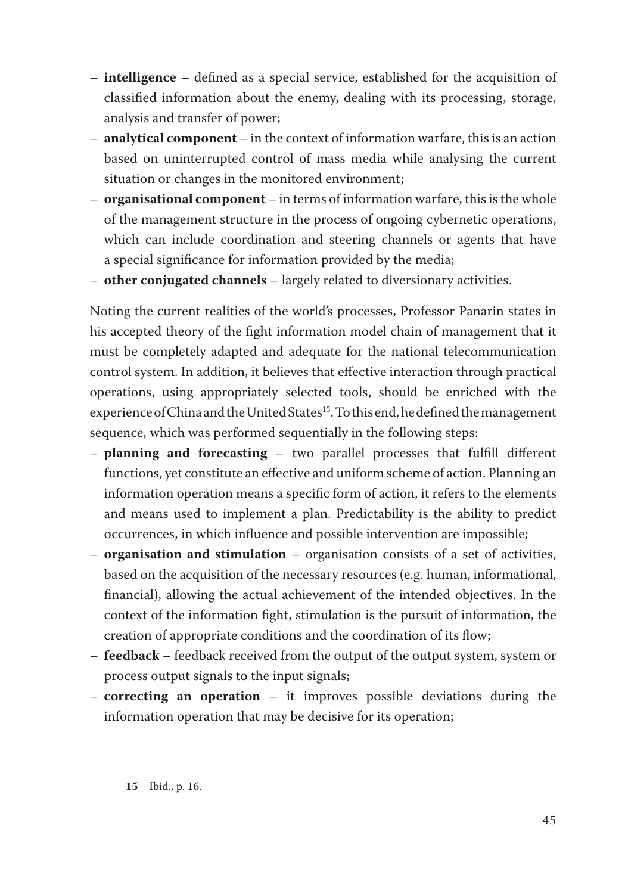- **intelligence** defined as a special service, established for the acquisition of classified information about the enemy, dealing with its processing, storage, analysis and transfer of power;
- **analytical component** in the context of information warfare, this is an action based on uninterrupted control of mass media while analysing the current situation or changes in the monitored environment;
- **organisational component** in terms of information warfare, this is the whole of the management structure in the process of ongoing cybernetic operations, which can include coordination and steering channels or agents that have a special significance for information provided by the media;
- **other conjugated channels** largely related to diversionary activities.

Noting the current realities of the world's processes, Professor Panarin states in his accepted theory of the fight information model chain of management that it must be completely adapted and adequate for the national telecommunication control system. In addition, it believes that effective interaction through practical operations, using appropriately selected tools, should be enriched with the experience of China and the United States<sup>15</sup>. To this end, he defined the management sequence, which was performed sequentially in the following steps:

- **planning and forecasting** two parallel processes that fulfill different functions, yet constitute an effective and uniform scheme of action. Planning an information operation means a specific form of action, it refers to the elements and means used to implement a plan. Predictability is the ability to predict occurrences, in which influence and possible intervention are impossible;
- **organisation and stimulation** organisation consists of a set of activities, based on the acquisition of the necessary resources (e.g. human, informational, financial), allowing the actual achievement of the intended objectives. In the context of the information fight, stimulation is the pursuit of information, the creation of appropriate conditions and the coordination of its flow;
- **feedback** feedback received from the output of the output system, system or process output signals to the input signals;
- **correcting an operation** it improves possible deviations during the information operation that may be decisive for its operation;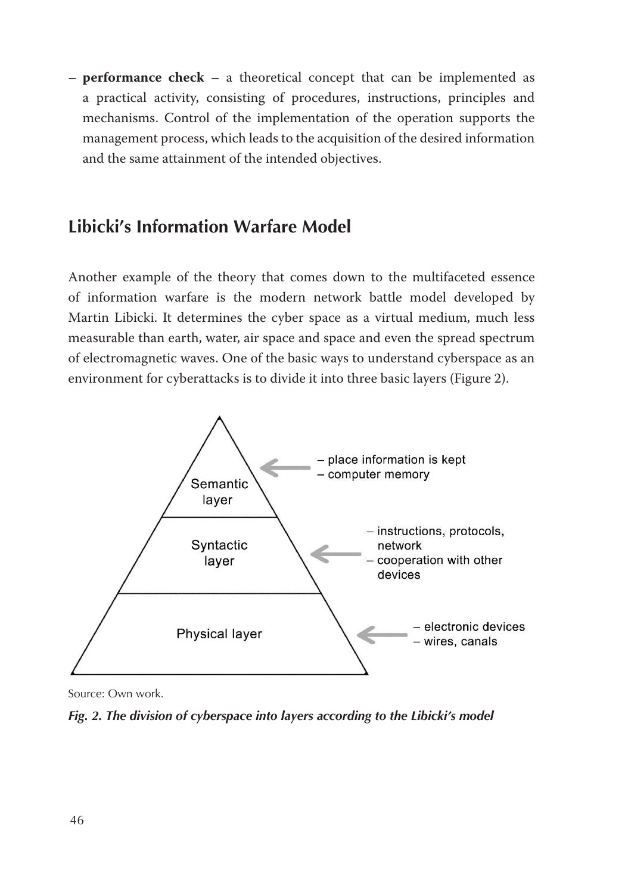– **performance check** – a theoretical concept that can be implemented as a practical activity, consisting of procedures, instructions, principles and mechanisms. Control of the implementation of the operation supports the management process, which leads to the acquisition of the desired information and the same attainment of the intended objectives.

# **Libicki's Information Warfare Model**

Another example of the theory that comes down to the multifaceted essence of information warfare is the modern network battle model developed by Martin Libicki. It determines the cyber space as a virtual medium, much less measurable than earth, water, air space and space and even the spread spectrum of electromagnetic waves. One of the basic ways to understand cyberspace as an environment for cyberattacks is to divide it into three basic layers (Figure 2).



Source: Own work.

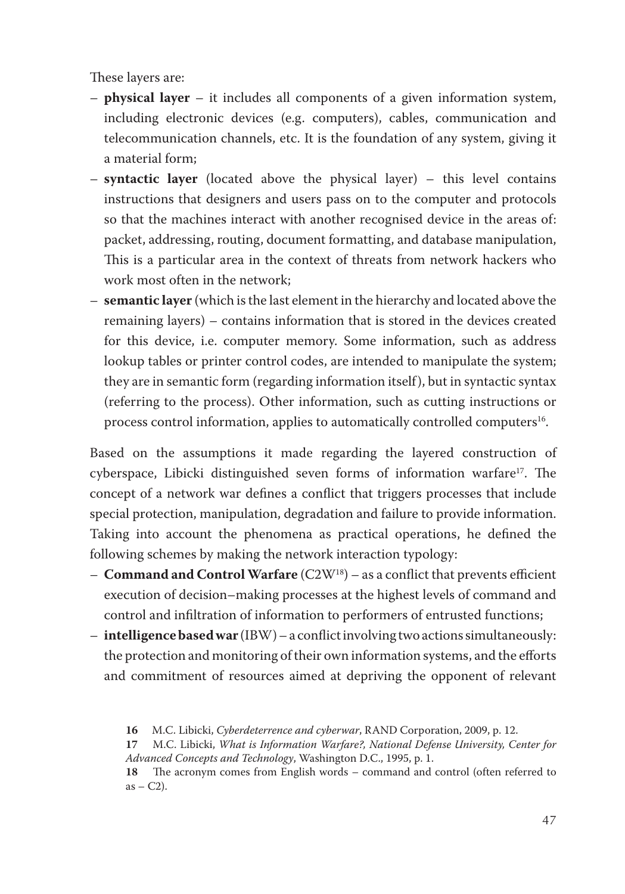These layers are:

- **physical layer** it includes all components of a given information system, including electronic devices (e.g. computers), cables, communication and telecommunication channels, etc. It is the foundation of any system, giving it a material form;
- **syntactic layer** (located above the physical layer) this level contains instructions that designers and users pass on to the computer and protocols so that the machines interact with another recognised device in the areas of: packet, addressing, routing, document formatting, and database manipulation, This is a particular area in the context of threats from network hackers who work most often in the network;
- **semantic layer** (which is the last element in the hierarchy and located above the remaining layers) – contains information that is stored in the devices created for this device, i.e. computer memory. Some information, such as address lookup tables or printer control codes, are intended to manipulate the system; they are in semantic form (regarding information itself), but in syntactic syntax (referring to the process). Other information, such as cutting instructions or process control information, applies to automatically controlled computers<sup>16</sup>.

Based on the assumptions it made regarding the layered construction of cyberspace, Libicki distinguished seven forms of information warfare<sup>17</sup>. The concept of a network war defines a conflict that triggers processes that include special protection, manipulation, degradation and failure to provide information. Taking into account the phenomena as practical operations, he defined the following schemes by making the network interaction typology:

- **Command and Control Warfare** (C2W18) as a conflict that prevents efficient execution of decision–making processes at the highest levels of command and control and infiltration of information to performers of entrusted functions;
- **intelligencebasedwar** (IBW) a conflict involving two actions simultaneously: the protection and monitoring of their own information systems, and the efforts and commitment of resources aimed at depriving the opponent of relevant

**<sup>16</sup>** M.C. Libicki, *Cyberdeterrence and cyberwar*, RAND Corporation, 2009, p. 12.

**<sup>17</sup>** M.C. Libicki, *What is Information Warfare?, National Defense University, Center for Advanced Concepts and Technology*, Washington D.C., 1995, p. 1.

**<sup>18</sup>** The acronym comes from English words – command and control (often referred to  $as - C2$ ).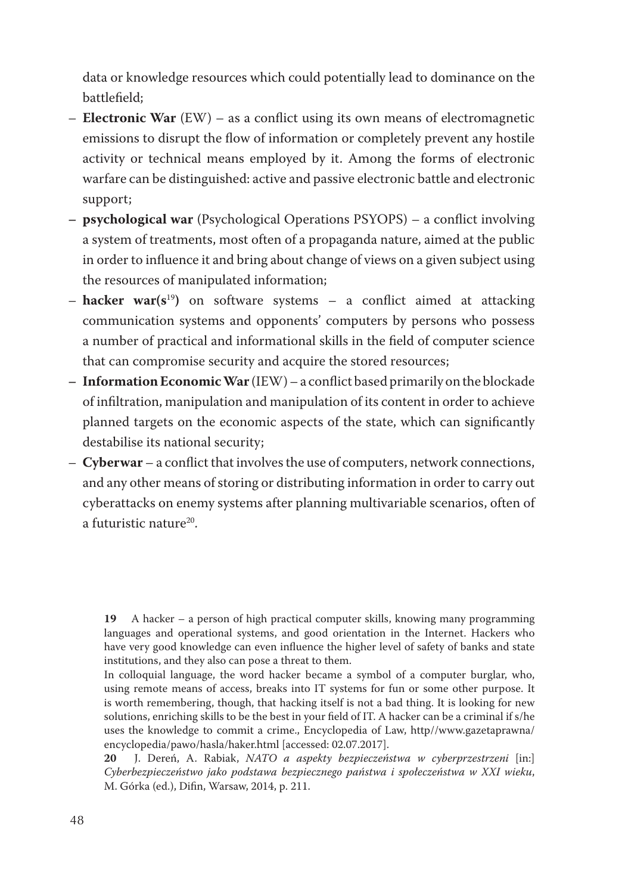data or knowledge resources which could potentially lead to dominance on the battlefield;

- **Electronic War** (EW) as a conflict using its own means of electromagnetic emissions to disrupt the flow of information or completely prevent any hostile activity or technical means employed by it. Among the forms of electronic warfare can be distinguished: active and passive electronic battle and electronic support;
- **– psychological war** (Psychological Operations PSYOPS) a conflict involving a system of treatments, most often of a propaganda nature, aimed at the public in order to influence it and bring about change of views on a given subject using the resources of manipulated information;
- **hacker war(s**<sup>19</sup>**)** on software systems a conflict aimed at attacking communication systems and opponents' computers by persons who possess a number of practical and informational skills in the field of computer science that can compromise security and acquire the stored resources;
- **– InformationEconomicWar** (IEW) a conflict based primarily on the blockade of infiltration, manipulation and manipulation of its content in order to achieve planned targets on the economic aspects of the state, which can significantly destabilise its national security;
- **Cyberwar** a conflict that involves the use of computers, network connections, and any other means of storing or distributing information in order to carry out cyberattacks on enemy systems after planning multivariable scenarios, often of a futuristic nature<sup>20</sup>.

**19** A hacker – a person of high practical computer skills, knowing many programming languages and operational systems, and good orientation in the Internet. Hackers who have very good knowledge can even influence the higher level of safety of banks and state institutions, and they also can pose a threat to them.

In colloquial language, the word hacker became a symbol of a computer burglar, who, using remote means of access, breaks into IT systems for fun or some other purpose. It is worth remembering, though, that hacking itself is not a bad thing. It is looking for new solutions, enriching skills to be the best in your field of IT. A hacker can be a criminal if s/he uses the knowledge to commit a crime., Encyclopedia of Law, http//www.gazetaprawna/ encyclopedia/pawo/hasla/haker.html [accessed: 02.07.2017].<br>20 J. Dereń, A. Rabiak, NATO a aspekty beznieczeńs

**20**  J. Dereń, A. Rabiak, *NATO a aspekty bezpieczeństwa w cyberprzestrzeni* [in:] *Cyberbezpieczeństwo jako podstawa bezpiecznego państwa i społeczeństwa w XXI wieku*, M. Górka (ed.), Difin, Warsaw, 2014, p. 211.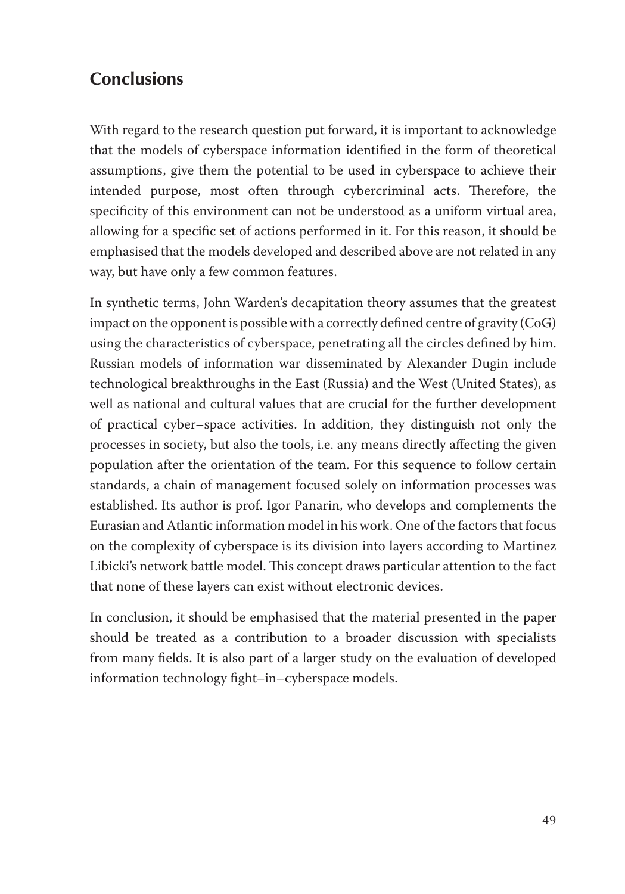# **Conclusions**

With regard to the research question put forward, it is important to acknowledge that the models of cyberspace information identified in the form of theoretical assumptions, give them the potential to be used in cyberspace to achieve their intended purpose, most often through cybercriminal acts. Therefore, the specificity of this environment can not be understood as a uniform virtual area, allowing for a specific set of actions performed in it. For this reason, it should be emphasised that the models developed and described above are not related in any way, but have only a few common features.

In synthetic terms, John Warden's decapitation theory assumes that the greatest impact on the opponent is possible with a correctly defined centre of gravity (CoG) using the characteristics of cyberspace, penetrating all the circles defined by him. Russian models of information war disseminated by Alexander Dugin include technological breakthroughs in the East (Russia) and the West (United States), as well as national and cultural values that are crucial for the further development of practical cyber–space activities. In addition, they distinguish not only the processes in society, but also the tools, i.e. any means directly affecting the given population after the orientation of the team. For this sequence to follow certain standards, a chain of management focused solely on information processes was established. Its author is prof. Igor Panarin, who develops and complements the Eurasian and Atlantic information model in his work. One of the factors that focus on the complexity of cyberspace is its division into layers according to Martinez Libicki's network battle model. This concept draws particular attention to the fact that none of these layers can exist without electronic devices.

In conclusion, it should be emphasised that the material presented in the paper should be treated as a contribution to a broader discussion with specialists from many fields. It is also part of a larger study on the evaluation of developed information technology fight–in–cyberspace models.